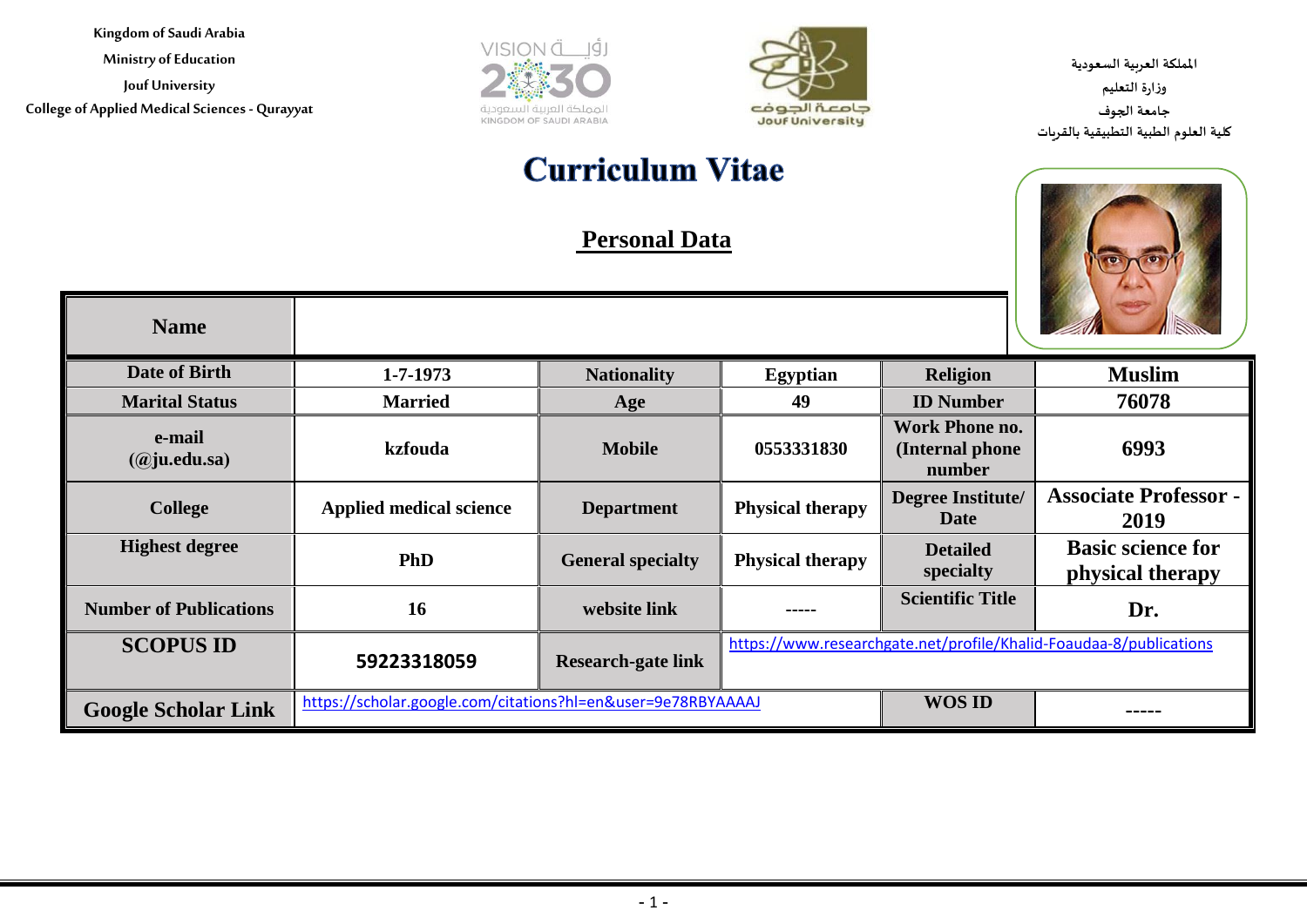**Ministry of Education**

**Jouf University College of Applied Medical Sciences - Qurayyat**





**اململكة العربية السعودية وزارة التعليم جامعة الجوف كلية العلوم الطبية التطبيقية بالقريات**

# **Curriculum Vitae**

# **Personal Data**



| <b>Name</b>                   |                                                              |                           |                         |                                                     |                                                                    |
|-------------------------------|--------------------------------------------------------------|---------------------------|-------------------------|-----------------------------------------------------|--------------------------------------------------------------------|
| Date of Birth                 | $1 - 7 - 1973$                                               | <b>Nationality</b>        | <b>Egyptian</b>         | <b>Religion</b>                                     | <b>Muslim</b>                                                      |
| <b>Marital Status</b>         | <b>Married</b>                                               | Age                       | 49                      | <b>ID</b> Number                                    | 76078                                                              |
| e-mail<br>$(a)$ ju.edu.sa)    | kzfouda                                                      | <b>Mobile</b>             | 0553331830              | <b>Work Phone no.</b><br>(Internal phone)<br>number | 6993                                                               |
| <b>College</b>                | <b>Applied medical science</b>                               | <b>Department</b>         | <b>Physical therapy</b> | <b>Degree Institute/</b><br><b>Date</b>             | <b>Associate Professor -</b><br>2019                               |
| <b>Highest degree</b>         | <b>PhD</b>                                                   | <b>General specialty</b>  | <b>Physical therapy</b> | <b>Detailed</b><br>specialty                        | <b>Basic science for</b><br>physical therapy                       |
| <b>Number of Publications</b> | 16                                                           | website link              | -----                   | <b>Scientific Title</b>                             | Dr.                                                                |
| <b>SCOPUS ID</b>              | 59223318059                                                  | <b>Research-gate link</b> |                         |                                                     | https://www.researchgate.net/profile/Khalid-Foaudaa-8/publications |
| <b>Google Scholar Link</b>    | https://scholar.google.com/citations?hl=en&user=9e78RBYAAAAJ |                           |                         | <b>WOS ID</b>                                       | -----                                                              |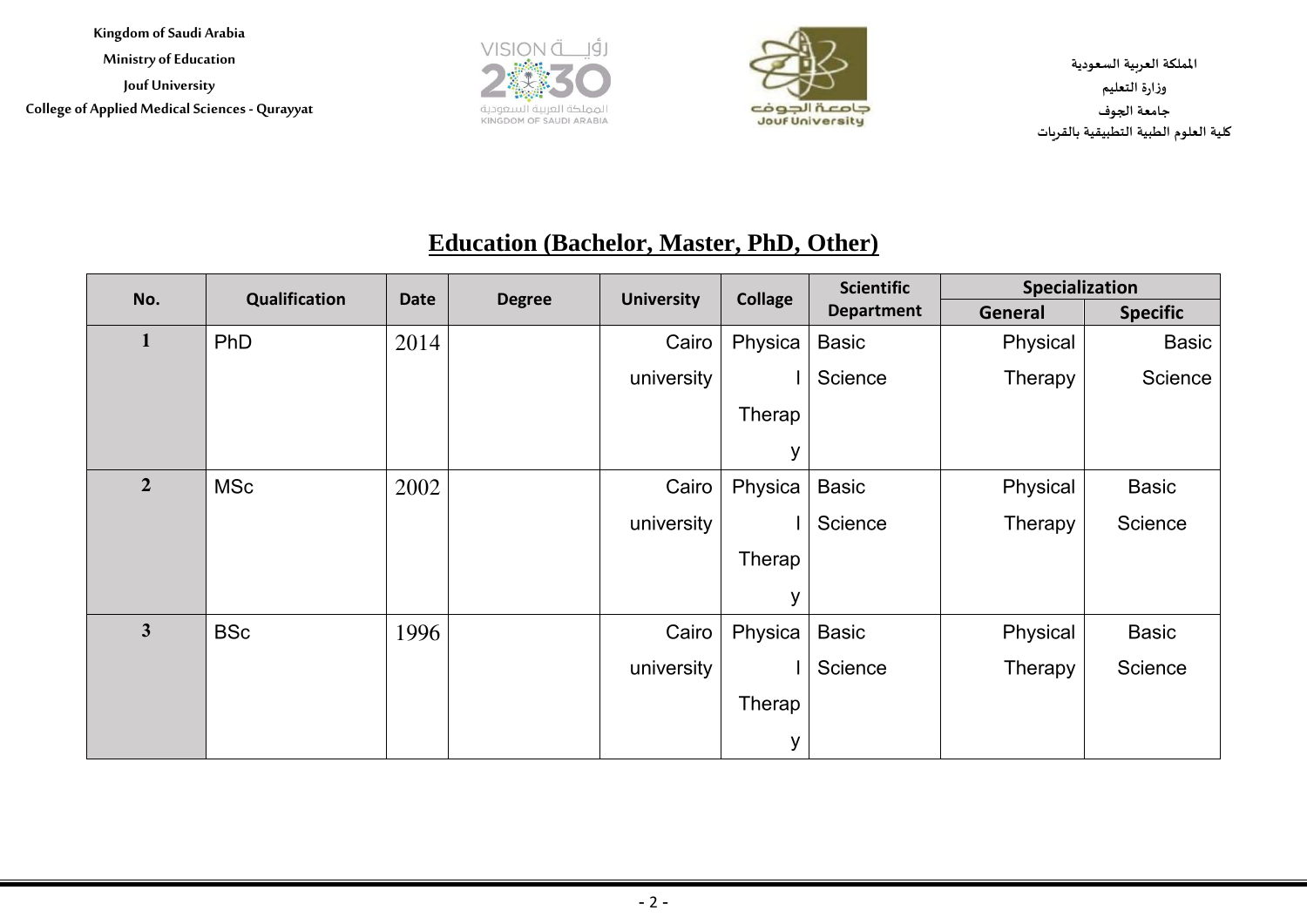**Kingdom of Saudi Arabia Ministry of Education Jouf University College of Applied Medical Sciences - Qurayyat**





**اململكة العربية السعودية وزارة التعليم جامعة الجوف كلية العلوم الطبية التطبيقية بالقريات**

## **Education (Bachelor, Master, PhD, Other)**

| No.            | Qualification | <b>Date</b> | <b>Degree</b> | <b>University</b> | <b>Collage</b> | <b>Scientific</b> | Specialization |                 |
|----------------|---------------|-------------|---------------|-------------------|----------------|-------------------|----------------|-----------------|
|                |               |             |               |                   |                | <b>Department</b> | <b>General</b> | <b>Specific</b> |
| $\mathbf{1}$   | PhD           | 2014        |               | Cairo             | Physica        | Basic             | Physical       | <b>Basic</b>    |
|                |               |             |               | university        |                | Science           | Therapy        | Science         |
|                |               |             |               |                   | Therap         |                   |                |                 |
|                |               |             |               |                   | y              |                   |                |                 |
| $\overline{2}$ | <b>MSc</b>    | 2002        |               | Cairo             | Physica        | <b>Basic</b>      | Physical       | <b>Basic</b>    |
|                |               |             |               | university        |                | Science           | Therapy        | Science         |
|                |               |             |               |                   | Therap         |                   |                |                 |
|                |               |             |               |                   | y              |                   |                |                 |
| 3 <sup>1</sup> | <b>BSc</b>    | 1996        |               | Cairo             | Physica        | <b>Basic</b>      | Physical       | <b>Basic</b>    |
|                |               |             |               | university        |                | Science           | Therapy        | Science         |
|                |               |             |               |                   | Therap         |                   |                |                 |
|                |               |             |               |                   | У              |                   |                |                 |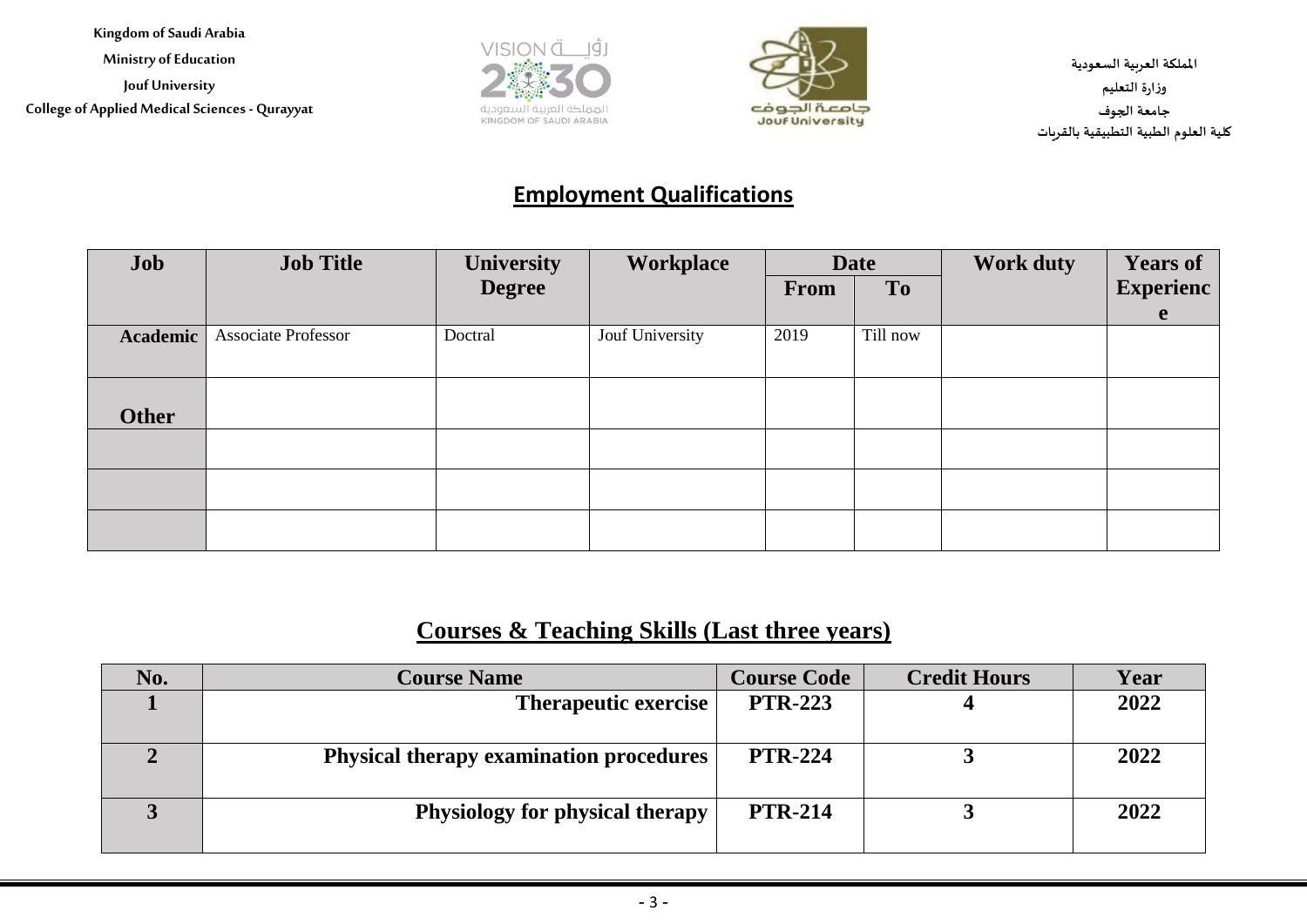**Kingdom of Saudi Arabia Ministry of Education Jouf University College of Applied Medical Sciences - Qurayyat**





**اململكة العربية السعودية وزارة التعليم جامعة الجوف كلية العلوم الطبية التطبيقية بالقريات**

#### **Employment Qualifications**

| Job          | <b>Job Title</b>           | <b>University</b> | Workplace       | <b>Date</b> |                | <b>Work duty</b> | <b>Years of</b>  |
|--------------|----------------------------|-------------------|-----------------|-------------|----------------|------------------|------------------|
|              |                            | <b>Degree</b>     |                 | <b>From</b> | T <sub>o</sub> |                  | <b>Experienc</b> |
|              |                            |                   |                 |             |                |                  | e                |
| Academic     | <b>Associate Professor</b> | Doctral           | Jouf University | 2019        | Till now       |                  |                  |
|              |                            |                   |                 |             |                |                  |                  |
|              |                            |                   |                 |             |                |                  |                  |
| <b>Other</b> |                            |                   |                 |             |                |                  |                  |
|              |                            |                   |                 |             |                |                  |                  |
|              |                            |                   |                 |             |                |                  |                  |
|              |                            |                   |                 |             |                |                  |                  |
|              |                            |                   |                 |             |                |                  |                  |
|              |                            |                   |                 |             |                |                  |                  |

#### **Courses & Teaching Skills (Last three years)**

| No. | <b>Course Name</b>                             | <b>Course Code</b> | <b>Credit Hours</b> | Year |
|-----|------------------------------------------------|--------------------|---------------------|------|
|     | <b>Therapeutic exercise</b>                    | <b>PTR-223</b>     |                     | 2022 |
|     | <b>Physical therapy examination procedures</b> | <b>PTR-224</b>     |                     | 2022 |
|     | Physiology for physical therapy                | <b>PTR-214</b>     |                     | 2022 |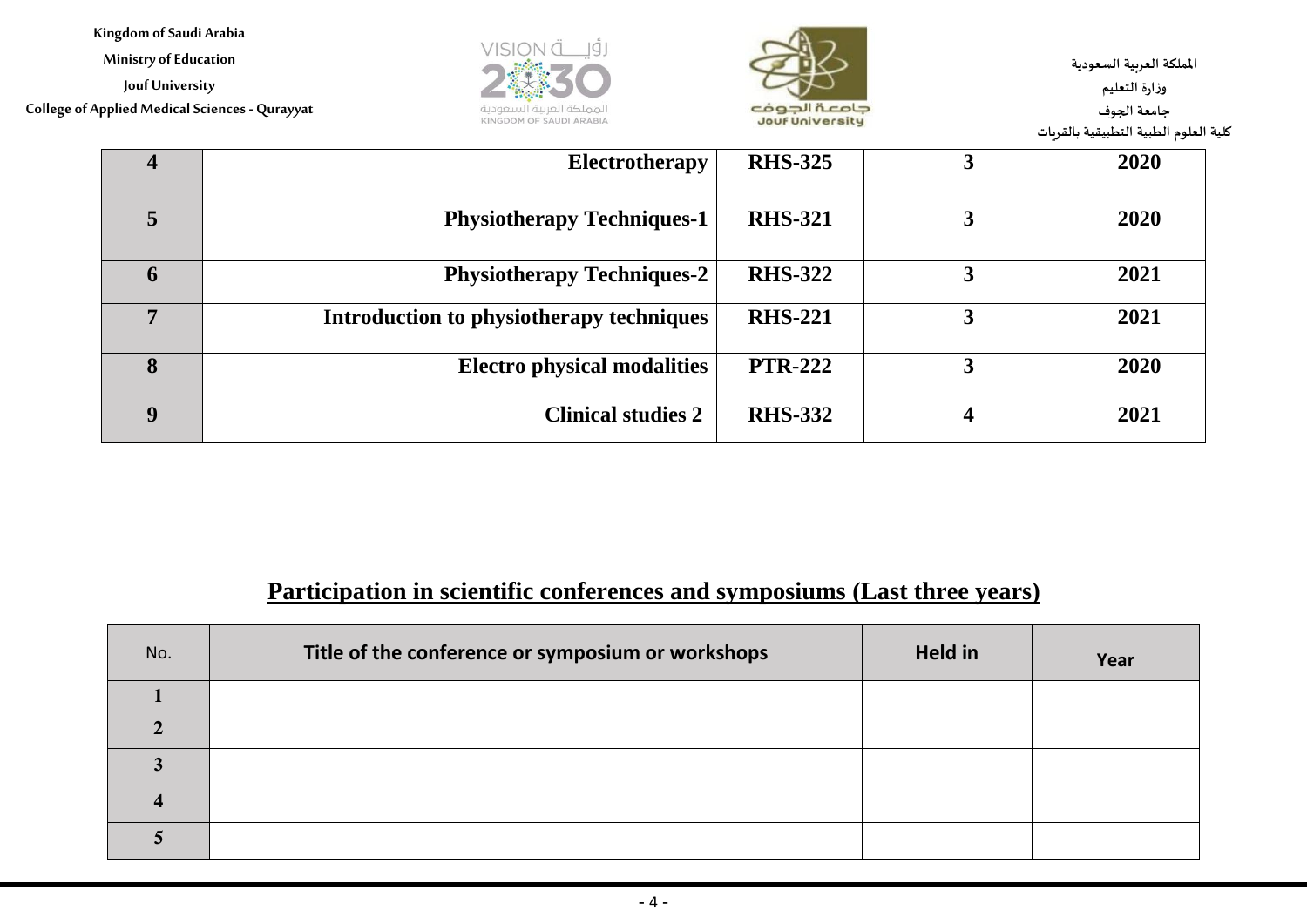**Ministry of Education**

**Jouf University**

**College of Applied Medical Sciences - Qurayyat**





**اململكة العربية السعودية وزارة التعليم جامعة الجوف كلية العلوم الطبية التطبيقية بالقريات**

| $\overline{\mathbf{4}}$ | Electrotherapy                           | <b>RHS-325</b> | J | 2020 |
|-------------------------|------------------------------------------|----------------|---|------|
| 5                       | <b>Physiotherapy Techniques-1</b>        | <b>RHS-321</b> |   | 2020 |
| O                       | <b>Physiotherapy Techniques-2</b>        | <b>RHS-322</b> | 3 | 2021 |
|                         | Introduction to physiotherapy techniques | <b>RHS-221</b> |   | 2021 |
| 8                       | <b>Electro physical modalities</b>       | <b>PTR-222</b> | 3 | 2020 |
|                         | <b>Clinical studies 2</b>                | <b>RHS-332</b> | 4 | 2021 |

# **Participation in scientific conferences and symposiums (Last three years)**

| No. | Title of the conference or symposium or workshops | <b>Held in</b> | Year |
|-----|---------------------------------------------------|----------------|------|
|     |                                                   |                |      |
|     |                                                   |                |      |
|     |                                                   |                |      |
|     |                                                   |                |      |
|     |                                                   |                |      |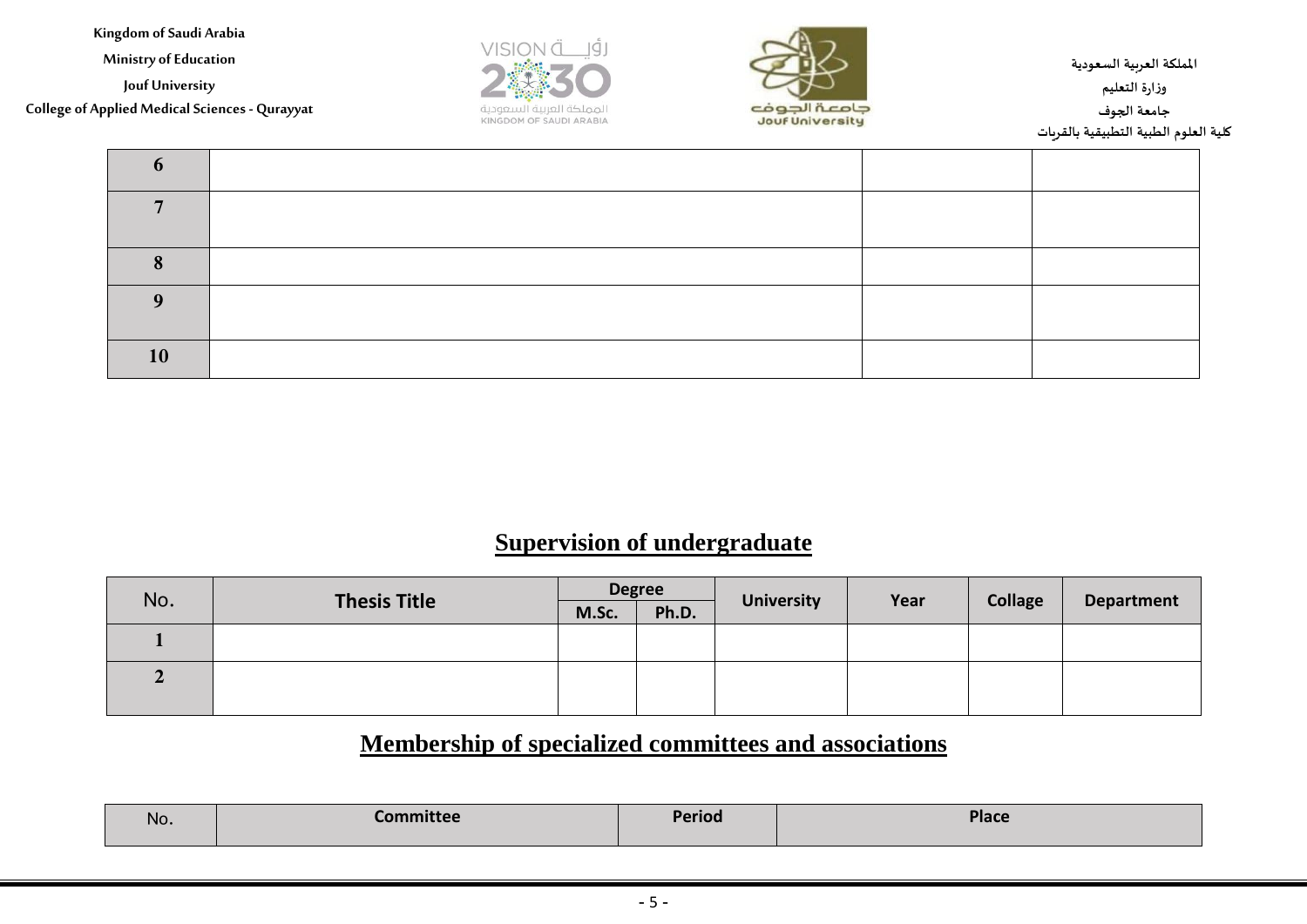**Ministry of Education**

**Jouf University**

**College of Applied Medical Sciences - Qurayyat**





**اململكة العربية السعودية وزارة التعليم جامعة الجوف كلية العلوم الطبية التطبيقية بالقريات**

| 10 |  |  |
|----|--|--|

## **Supervision of undergraduate**

| No.          | <b>Thesis Title</b> | <b>Degree</b> |       |                   |      |                |                   |
|--------------|---------------------|---------------|-------|-------------------|------|----------------|-------------------|
|              |                     | M.Sc.         | Ph.D. | <b>University</b> | Year | <b>Collage</b> | <b>Department</b> |
|              |                     |               |       |                   |      |                |                   |
| $\mathbf{2}$ |                     |               |       |                   |      |                |                   |
|              |                     |               |       |                   |      |                |                   |

## **Membership of specialized committees and associations**

| No. | <b>Committee</b> | <b>Period</b> | <b>Place</b> |
|-----|------------------|---------------|--------------|
|-----|------------------|---------------|--------------|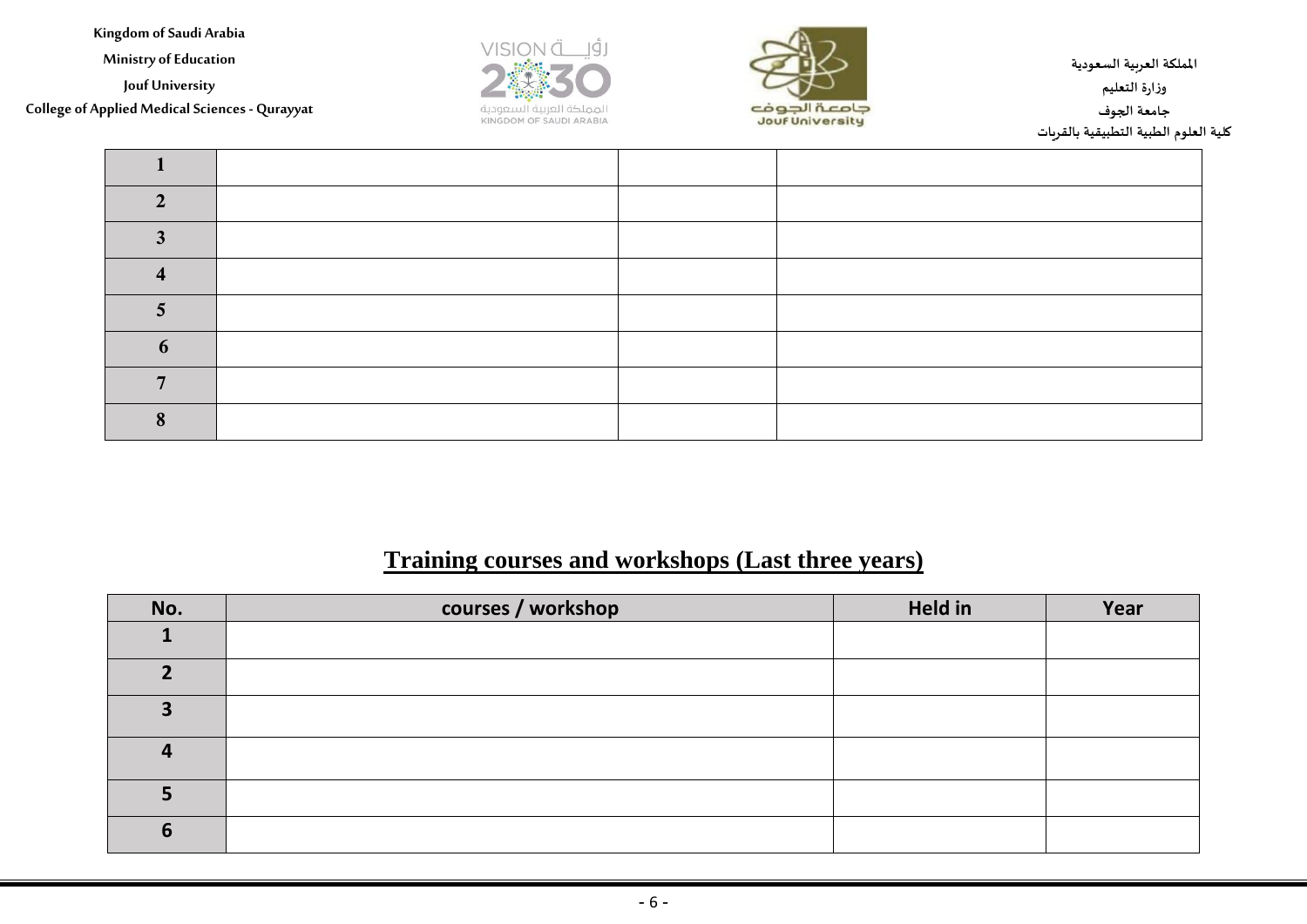**Ministry of Education**

**Jouf University**

**College of Applied Medical Sciences - Qurayyat**





**اململكة العربية السعودية وزارة التعليم جامعة الجوف كلية العلوم الطبية التطبيقية بالقريات**

#### **Training courses and workshops (Last three years)**

| No. | courses / workshop | Held in | Year |
|-----|--------------------|---------|------|
|     |                    |         |      |
| ּח  |                    |         |      |
| З   |                    |         |      |
|     |                    |         |      |
|     |                    |         |      |
| 6   |                    |         |      |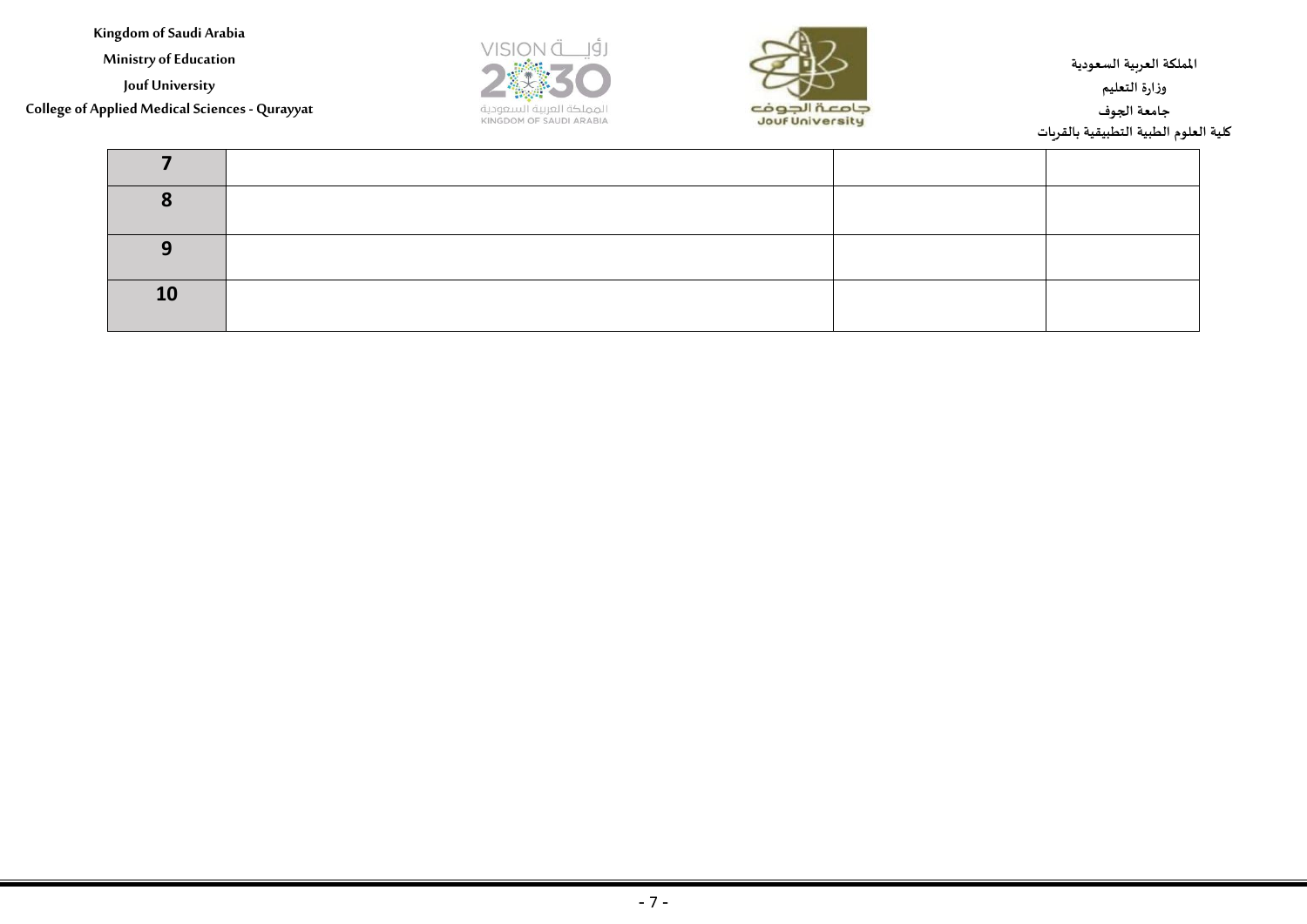**Ministry of Education**

**Jouf University**

**College of Applied Medical Sciences - Qurayyat**





**اململكة العربية السعودية وزارة التعليم جامعة الجوف كلية العلوم الطبية التطبيقية بالقريات**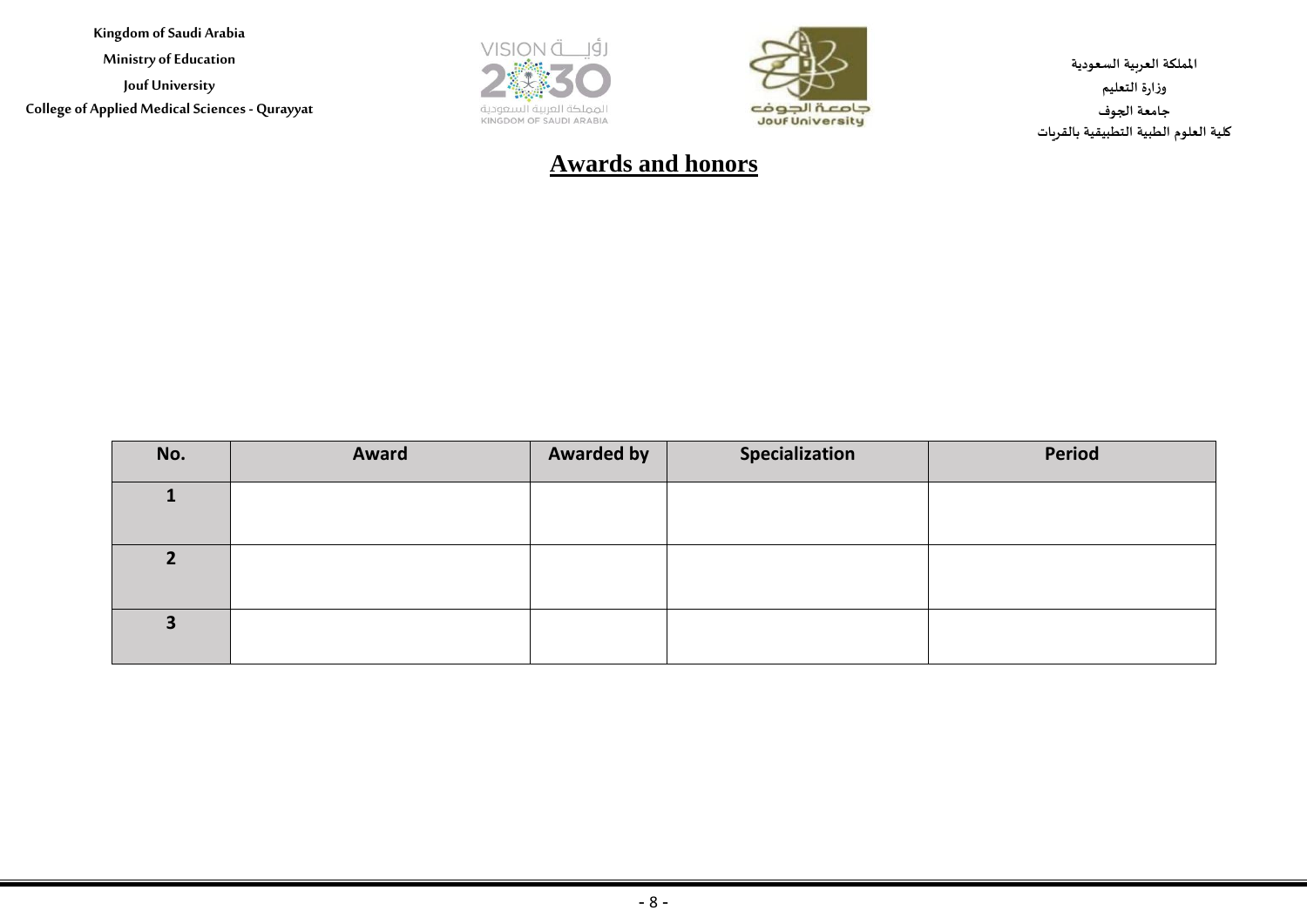**Ministry of Education**

**Jouf University College of Applied Medical Sciences - Qurayyat**





**اململكة العربية السعودية وزارة التعليم جامعة الجوف كلية العلوم الطبية التطبيقية بالقريات**

## **Awards and honors**

| No. | Award | <b>Awarded by</b> | Specialization | <b>Period</b> |
|-----|-------|-------------------|----------------|---------------|
|     |       |                   |                |               |
|     |       |                   |                |               |
|     |       |                   |                |               |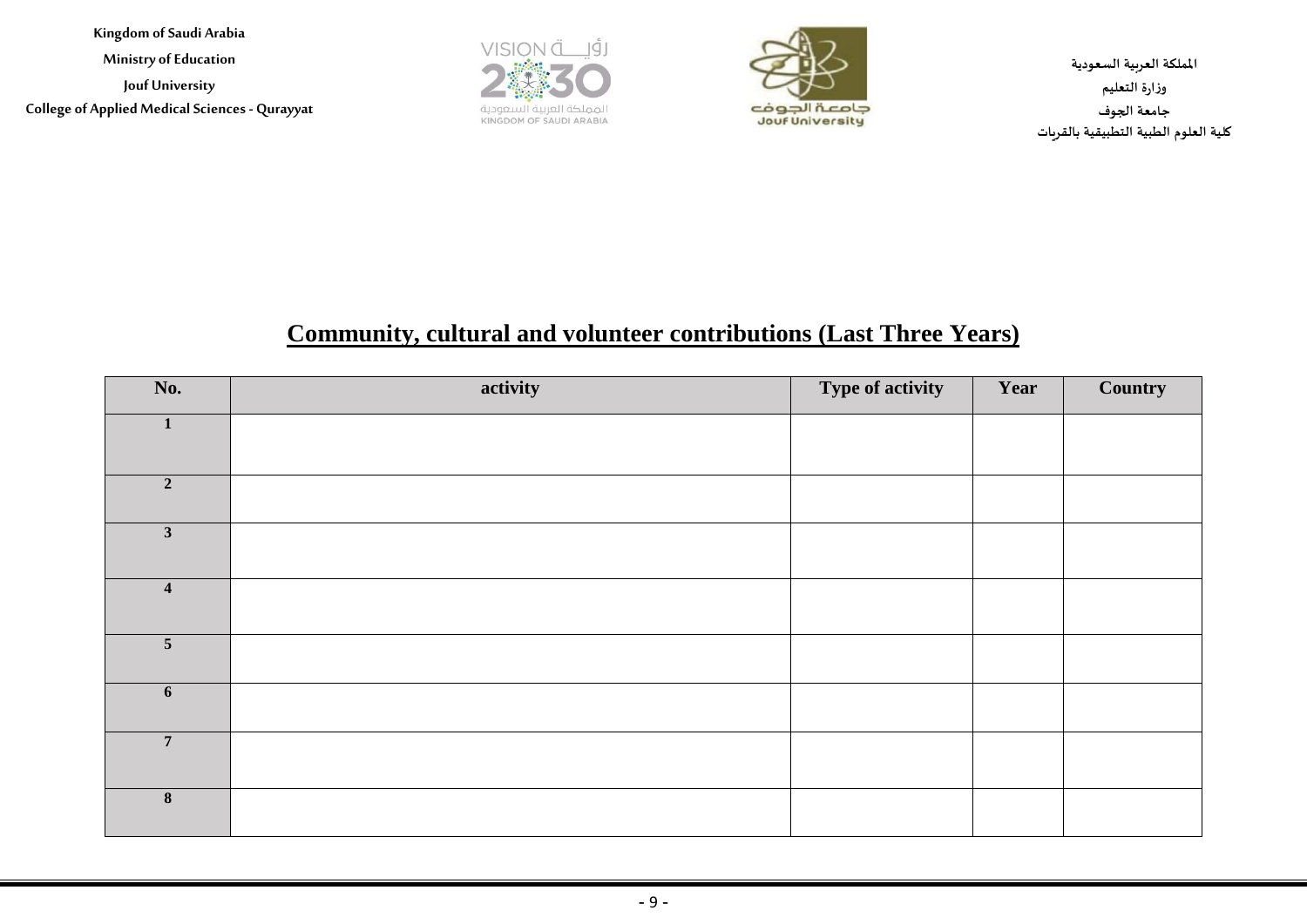**Ministry of Education**

**Jouf University College of Applied Medical Sciences - Qurayyat**





**اململكة العربية السعودية وزارة التعليم جامعة الجوف كلية العلوم الطبية التطبيقية بالقريات**

## **Community, cultural and volunteer contributions (Last Three Years)**

| No.                     | activity | Type of activity | Year | Country |
|-------------------------|----------|------------------|------|---------|
| $\mathbf{1}$            |          |                  |      |         |
| $\mathbf 2$             |          |                  |      |         |
| $\overline{\mathbf{3}}$ |          |                  |      |         |
| $\overline{\mathbf{4}}$ |          |                  |      |         |
| $\overline{\mathbf{5}}$ |          |                  |      |         |
| $\boldsymbol{6}$        |          |                  |      |         |
| $\overline{7}$          |          |                  |      |         |
| $\pmb{8}$               |          |                  |      |         |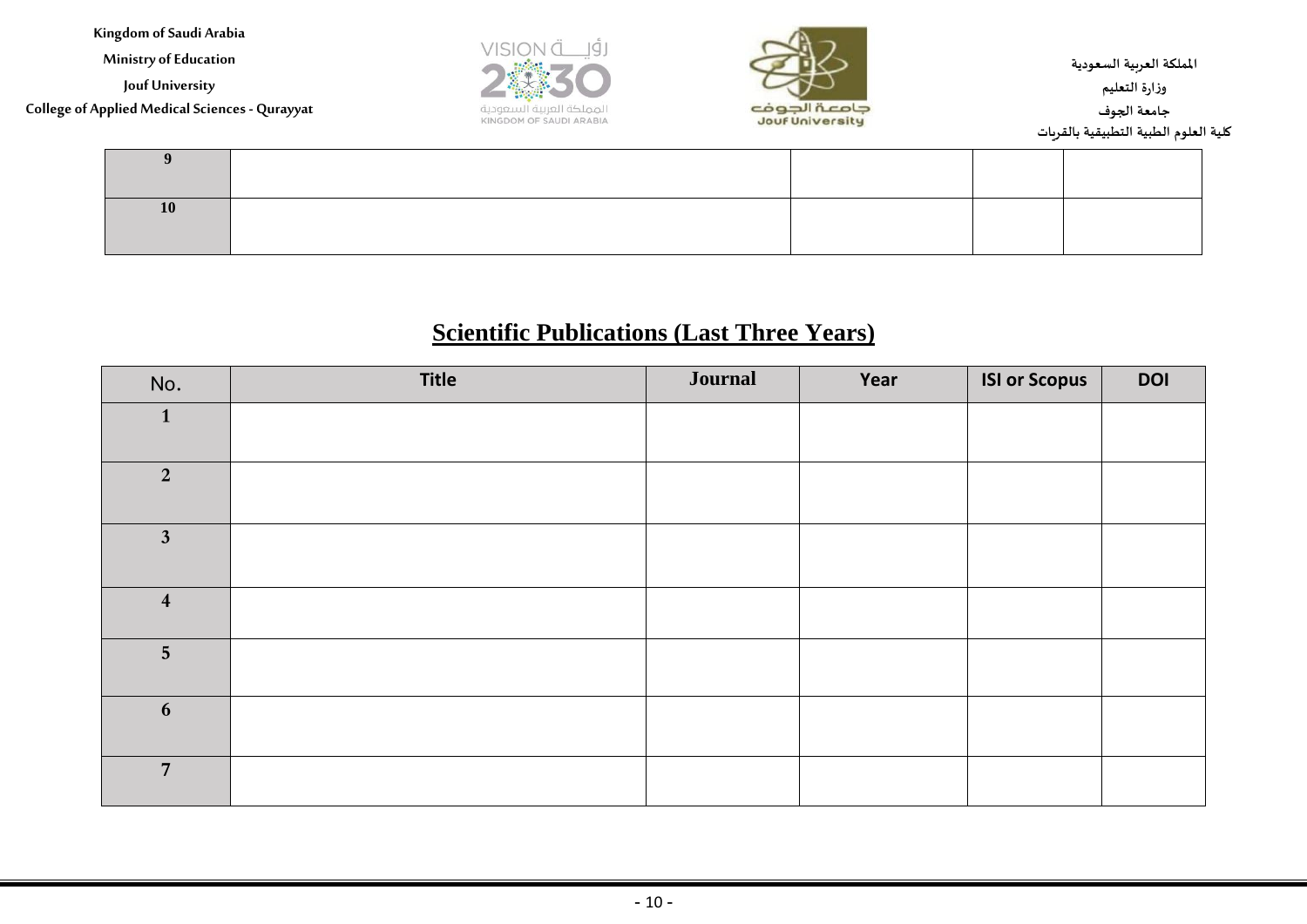**Ministry of Education**

**Jouf University**

**College of Applied Medical Sciences - Qurayyat**





**اململكة العربية السعودية وزارة التعليم جامعة الجوف كلية العلوم الطبية التطبيقية بالقريات**

# **Scientific Publications (Last Three Years)**

| No.                     | <b>Title</b> | <b>Journal</b> | Year | <b>ISI or Scopus</b> | <b>DOI</b> |
|-------------------------|--------------|----------------|------|----------------------|------------|
| $\mathbf{1}$            |              |                |      |                      |            |
| $\overline{2}$          |              |                |      |                      |            |
| $\mathbf{3}$            |              |                |      |                      |            |
| $\overline{\mathbf{4}}$ |              |                |      |                      |            |
| $5\overline{)}$         |              |                |      |                      |            |
| 6                       |              |                |      |                      |            |
| $\overline{7}$          |              |                |      |                      |            |